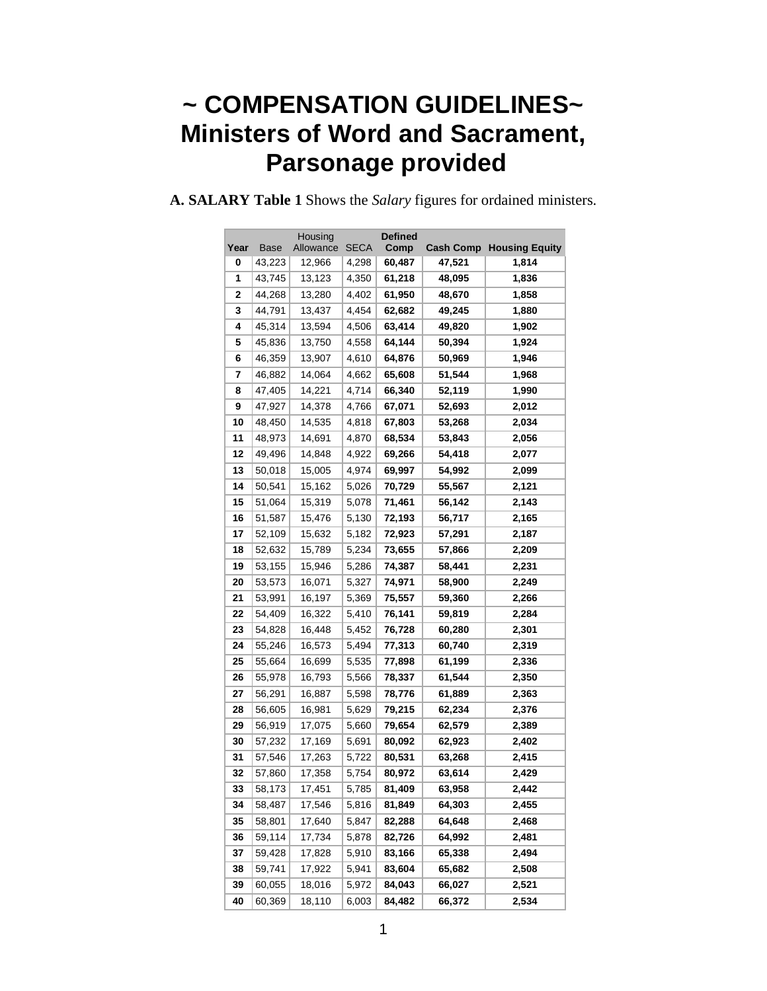# **~ COMPENSATION GUIDELINES~ Ministers of Word and Sacrament, Parsonage provided**

|      |             | Housing   |             | <b>Defined</b> |        |                                 |  |
|------|-------------|-----------|-------------|----------------|--------|---------------------------------|--|
| Year | <b>Base</b> | Allowance | <b>SECA</b> | Comp           |        | <b>Cash Comp Housing Equity</b> |  |
| 0    | 43,223      | 12,966    | 4,298       | 60,487         | 47,521 | 1,814                           |  |
| 1    | 43,745      | 13,123    | 4,350       | 61,218         | 48,095 | 1,836                           |  |
| 2    | 44,268      | 13,280    | 4,402       | 61,950         | 48,670 | 1,858                           |  |
| 3    | 44,791      | 13,437    | 4,454       | 62,682         | 49,245 | 1,880                           |  |
| 4    | 45,314      | 13,594    | 4,506       | 63,414         | 49,820 | 1,902                           |  |
| 5    | 45,836      | 13,750    | 4,558       | 64,144         | 50,394 | 1,924                           |  |
| 6    | 46,359      | 13,907    | 4,610       | 64,876         | 50,969 | 1,946                           |  |
| 7    | 46,882      | 14,064    | 4,662       | 65,608         | 51,544 | 1,968                           |  |
| 8    | 47,405      | 14,221    | 4,714       | 66,340         | 52,119 | 1,990                           |  |
| 9    | 47,927      | 14,378    | 4,766       | 67,071         | 52,693 | 2,012                           |  |
| 10   | 48,450      | 14,535    | 4,818       | 67,803         | 53,268 | 2,034                           |  |
| 11   | 48,973      | 14,691    | 4,870       | 68,534         | 53,843 | 2,056                           |  |
| 12   | 49,496      | 14,848    | 4,922       | 69,266         | 54,418 | 2,077                           |  |
| 13   | 50,018      | 15,005    | 4,974       | 69,997         | 54,992 | 2,099                           |  |
| 14   | 50,541      | 15,162    | 5,026       | 70,729         | 55,567 | 2,121                           |  |
| 15   | 51,064      | 15,319    | 5,078       | 71,461         | 56,142 | 2,143                           |  |
| 16   | 51,587      | 15,476    | 5,130       | 72,193         | 56,717 | 2,165                           |  |
| 17   | 52,109      | 15,632    | 5,182       | 72,923         | 57,291 | 2,187                           |  |
| 18   | 52,632      | 15,789    | 5,234       | 73,655         | 57,866 | 2,209                           |  |
| 19   | 53,155      | 15,946    | 5,286       | 74,387         | 58,441 | 2,231                           |  |
| 20   | 53,573      | 16,071    | 5,327       | 74,971         | 58,900 | 2,249                           |  |
| 21   | 53,991      | 16,197    | 5,369       | 75,557         | 59,360 | 2,266                           |  |
| 22   | 54,409      | 16,322    | 5,410       | 76,141         | 59,819 | 2,284                           |  |
| 23   | 54,828      | 16,448    | 5,452       | 76,728         | 60,280 | 2,301                           |  |
| 24   | 55,246      | 16,573    | 5,494       | 77,313         | 60,740 | 2,319                           |  |
| 25   | 55,664      | 16,699    | 5,535       | 77,898         | 61,199 | 2,336                           |  |
| 26   | 55,978      | 16,793    | 5,566       | 78,337         | 61,544 | 2,350                           |  |
| 27   | 56,291      | 16,887    | 5,598       | 78,776         | 61,889 | 2,363                           |  |
| 28   | 56,605      | 16,981    | 5,629       | 79,215         | 62,234 | 2,376                           |  |
| 29   | 56,919      | 17,075    | 5,660       | 79,654         | 62,579 | 2,389                           |  |
| 30   | 57,232      | 17,169    | 5,691       | 80,092         | 62,923 | 2,402                           |  |
| 31   | 57,546      | 17,263    | 5,722       | 80,531         | 63,268 | 2,415                           |  |
| 32   | 57,860      | 17,358    | 5,754       | 80,972         | 63,614 | 2,429                           |  |
| 33   | 58,173      | 17,451    | 5,785       | 81,409         | 63,958 | 2,442                           |  |
| 34   | 58,487      | 17,546    | 5,816       | 81,849         | 64,303 | 2,455                           |  |
| 35   | 58,801      | 17,640    | 5,847       | 82,288         | 64,648 | 2,468                           |  |
| 36   | 59,114      | 17,734    | 5,878       | 82,726         | 64,992 | 2,481                           |  |
| 37   | 59,428      | 17,828    | 5,910       | 83,166         | 65,338 | 2,494                           |  |
| 38   | 59,741      | 17,922    | 5,941       | 83,604         | 65,682 | 2,508                           |  |
| 39   | 60,055      | 18,016    | 5,972       | 84,043         | 66,027 | 2,521                           |  |
| 40   | 60,369      | 18,110    | 6,003       | 84,482         | 66,372 | 2,534                           |  |

**A. SALARY Table 1** Shows the *Salary* figures for ordained ministers.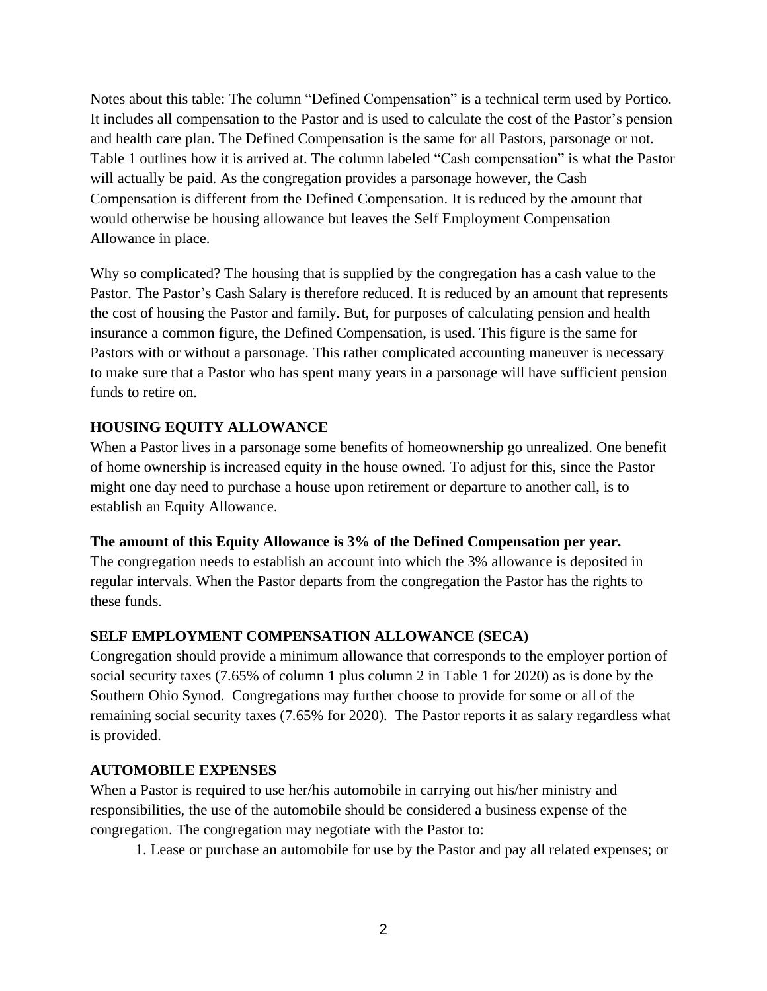Notes about this table: The column "Defined Compensation" is a technical term used by Portico. It includes all compensation to the Pastor and is used to calculate the cost of the Pastor's pension and health care plan. The Defined Compensation is the same for all Pastors, parsonage or not. Table 1 outlines how it is arrived at. The column labeled "Cash compensation" is what the Pastor will actually be paid. As the congregation provides a parsonage however, the Cash Compensation is different from the Defined Compensation. It is reduced by the amount that would otherwise be housing allowance but leaves the Self Employment Compensation Allowance in place.

Why so complicated? The housing that is supplied by the congregation has a cash value to the Pastor. The Pastor's Cash Salary is therefore reduced. It is reduced by an amount that represents the cost of housing the Pastor and family. But, for purposes of calculating pension and health insurance a common figure, the Defined Compensation, is used. This figure is the same for Pastors with or without a parsonage. This rather complicated accounting maneuver is necessary to make sure that a Pastor who has spent many years in a parsonage will have sufficient pension funds to retire on.

# **HOUSING EQUITY ALLOWANCE**

When a Pastor lives in a parsonage some benefits of homeownership go unrealized. One benefit of home ownership is increased equity in the house owned. To adjust for this, since the Pastor might one day need to purchase a house upon retirement or departure to another call, is to establish an Equity Allowance.

# **The amount of this Equity Allowance is 3% of the Defined Compensation per year.**

The congregation needs to establish an account into which the 3% allowance is deposited in regular intervals. When the Pastor departs from the congregation the Pastor has the rights to these funds.

# **SELF EMPLOYMENT COMPENSATION ALLOWANCE (SECA)**

Congregation should provide a minimum allowance that corresponds to the employer portion of social security taxes (7.65% of column 1 plus column 2 in Table 1 for 2020) as is done by the Southern Ohio Synod. Congregations may further choose to provide for some or all of the remaining social security taxes (7.65% for 2020). The Pastor reports it as salary regardless what is provided.

# **AUTOMOBILE EXPENSES**

When a Pastor is required to use her/his automobile in carrying out his/her ministry and responsibilities, the use of the automobile should be considered a business expense of the congregation. The congregation may negotiate with the Pastor to:

1. Lease or purchase an automobile for use by the Pastor and pay all related expenses; or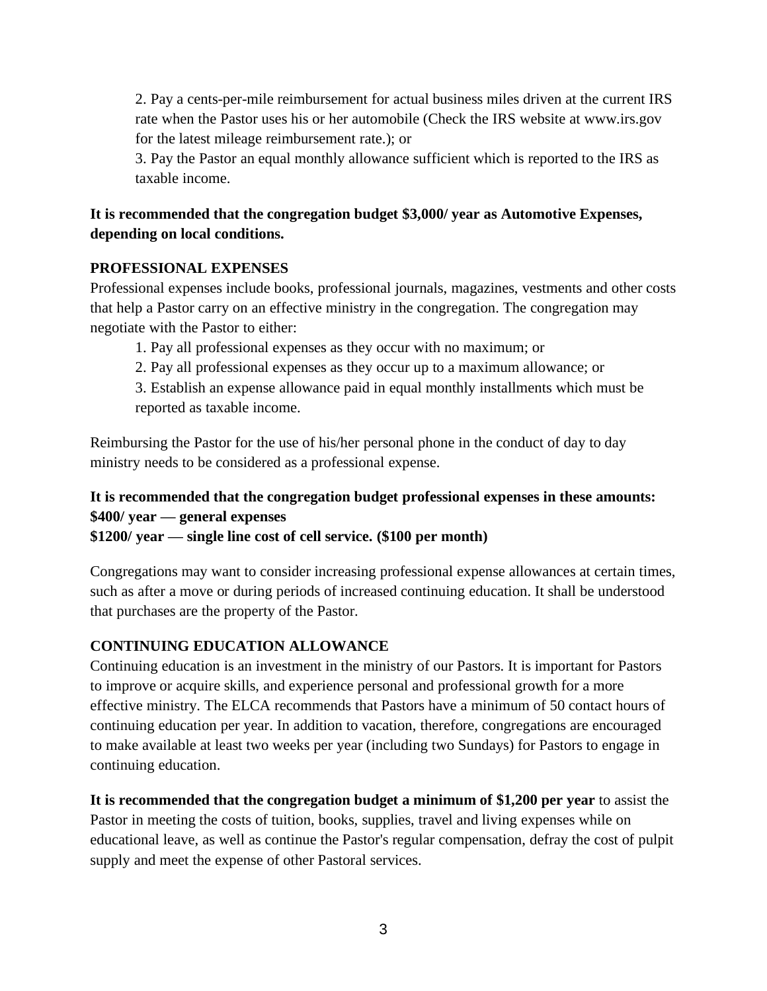2. Pay a cents-per-mile reimbursement for actual business miles driven at the current IRS rate when the Pastor uses his or her automobile (Check the IRS website at www.irs.gov for the latest mileage reimbursement rate.); or

3. Pay the Pastor an equal monthly allowance sufficient which is reported to the IRS as taxable income.

# **It is recommended that the congregation budget \$3,000/ year as Automotive Expenses, depending on local conditions.**

# **PROFESSIONAL EXPENSES**

Professional expenses include books, professional journals, magazines, vestments and other costs that help a Pastor carry on an effective ministry in the congregation. The congregation may negotiate with the Pastor to either:

- 1. Pay all professional expenses as they occur with no maximum; or
- 2. Pay all professional expenses as they occur up to a maximum allowance; or

3. Establish an expense allowance paid in equal monthly installments which must be reported as taxable income.

Reimbursing the Pastor for the use of his/her personal phone in the conduct of day to day ministry needs to be considered as a professional expense.

# **It is recommended that the congregation budget professional expenses in these amounts: \$400/ year — general expenses**

**\$1200/ year — single line cost of cell service. (\$100 per month)**

Congregations may want to consider increasing professional expense allowances at certain times, such as after a move or during periods of increased continuing education. It shall be understood that purchases are the property of the Pastor.

# **CONTINUING EDUCATION ALLOWANCE**

Continuing education is an investment in the ministry of our Pastors. It is important for Pastors to improve or acquire skills, and experience personal and professional growth for a more effective ministry. The ELCA recommends that Pastors have a minimum of 50 contact hours of continuing education per year. In addition to vacation, therefore, congregations are encouraged to make available at least two weeks per year (including two Sundays) for Pastors to engage in continuing education.

**It is recommended that the congregation budget a minimum of \$1,200 per year** to assist the Pastor in meeting the costs of tuition, books, supplies, travel and living expenses while on educational leave, as well as continue the Pastor's regular compensation, defray the cost of pulpit supply and meet the expense of other Pastoral services.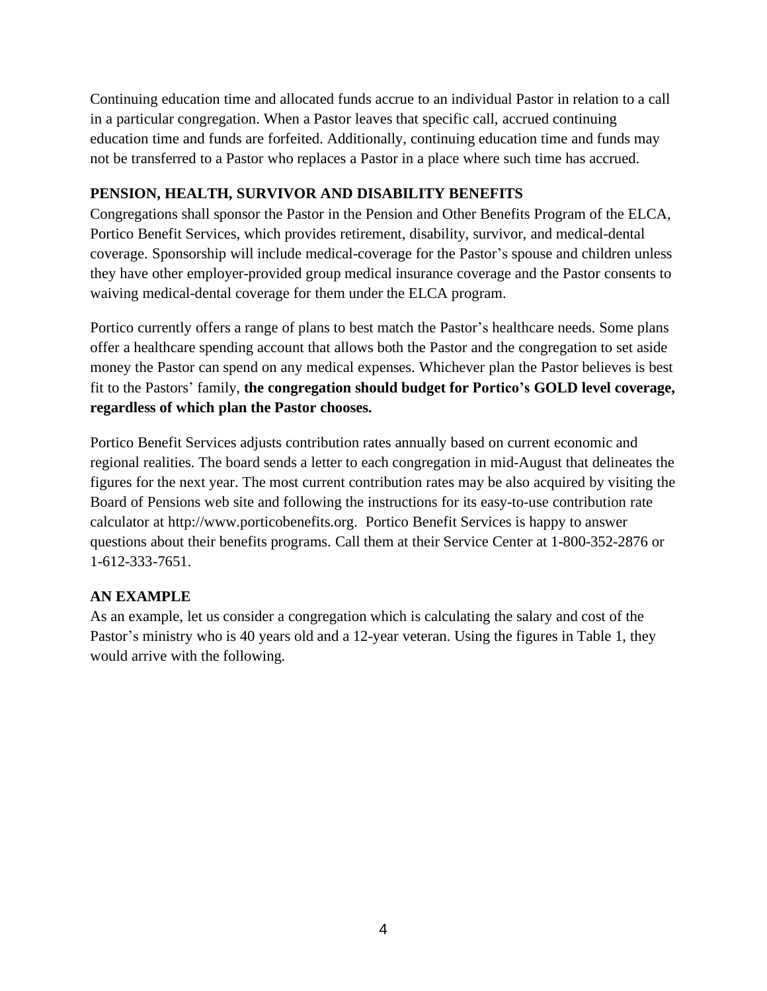Continuing education time and allocated funds accrue to an individual Pastor in relation to a call in a particular congregation. When a Pastor leaves that specific call, accrued continuing education time and funds are forfeited. Additionally, continuing education time and funds may not be transferred to a Pastor who replaces a Pastor in a place where such time has accrued.

# **PENSION, HEALTH, SURVIVOR AND DISABILITY BENEFITS**

Congregations shall sponsor the Pastor in the Pension and Other Benefits Program of the ELCA, Portico Benefit Services, which provides retirement, disability, survivor, and medical-dental coverage. Sponsorship will include medical-coverage for the Pastor's spouse and children unless they have other employer-provided group medical insurance coverage and the Pastor consents to waiving medical-dental coverage for them under the ELCA program.

Portico currently offers a range of plans to best match the Pastor's healthcare needs. Some plans offer a healthcare spending account that allows both the Pastor and the congregation to set aside money the Pastor can spend on any medical expenses. Whichever plan the Pastor believes is best fit to the Pastors' family, **the congregation should budget for Portico's GOLD level coverage, regardless of which plan the Pastor chooses.**

Portico Benefit Services adjusts contribution rates annually based on current economic and regional realities. The board sends a letter to each congregation in mid-August that delineates the figures for the next year. The most current contribution rates may be also acquired by visiting the Board of Pensions web site and following the instructions for its easy-to-use contribution rate calculator at http://www.porticobenefits.org. Portico Benefit Services is happy to answer questions about their benefits programs. Call them at their Service Center at 1-800-352-2876 or 1-612-333-7651.

# **AN EXAMPLE**

As an example, let us consider a congregation which is calculating the salary and cost of the Pastor's ministry who is 40 years old and a 12-year veteran. Using the figures in Table 1, they would arrive with the following.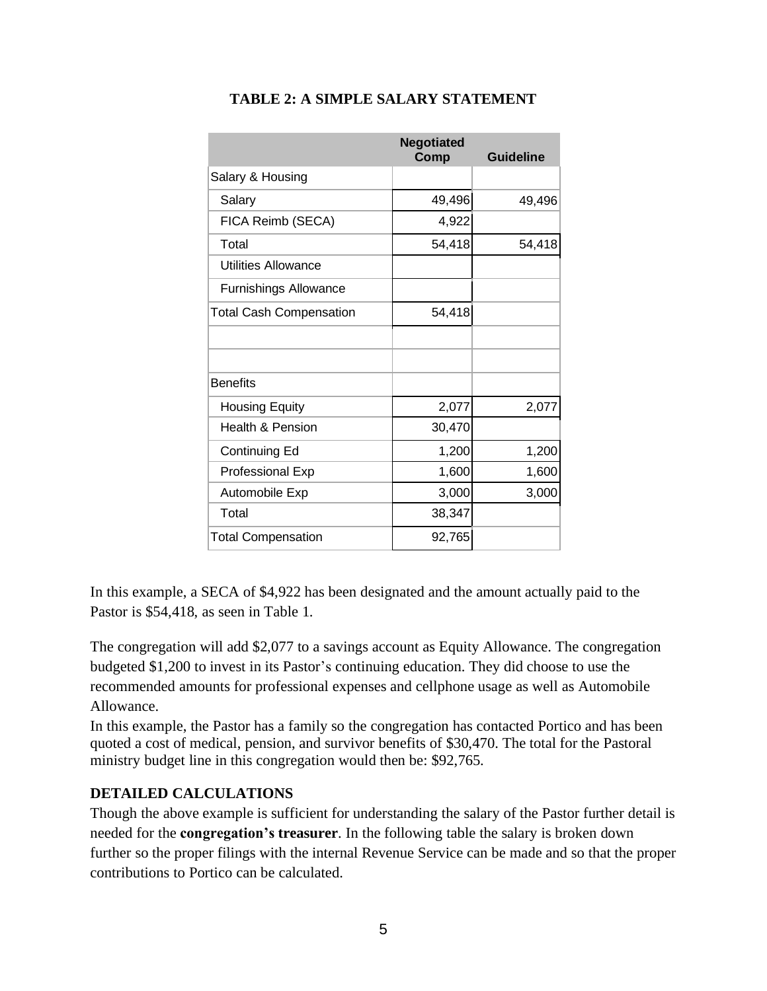|                                | <b>Negotiated</b><br>Comp | <b>Guideline</b> |
|--------------------------------|---------------------------|------------------|
| Salary & Housing               |                           |                  |
| Salary                         | 49,496                    | 49,496           |
| FICA Reimb (SECA)              | 4,922                     |                  |
| Total                          | 54,418                    | 54,418           |
| <b>Utilities Allowance</b>     |                           |                  |
| <b>Furnishings Allowance</b>   |                           |                  |
| <b>Total Cash Compensation</b> | 54,418                    |                  |
|                                |                           |                  |
|                                |                           |                  |
| <b>Benefits</b>                |                           |                  |
| <b>Housing Equity</b>          | 2,077                     | 2,077            |
| <b>Health &amp; Pension</b>    | 30,470                    |                  |
| Continuing Ed                  | 1,200                     | 1,200            |
| Professional Exp               | 1,600                     | 1,600            |
| Automobile Exp                 | 3,000                     | 3,000            |
| Total                          | 38,347                    |                  |
| <b>Total Compensation</b>      | 92,765                    |                  |

# **TABLE 2: A SIMPLE SALARY STATEMENT**

In this example, a SECA of \$4,922 has been designated and the amount actually paid to the Pastor is \$54,418, as seen in Table 1.

The congregation will add \$2,077 to a savings account as Equity Allowance. The congregation budgeted \$1,200 to invest in its Pastor's continuing education. They did choose to use the recommended amounts for professional expenses and cellphone usage as well as Automobile Allowance.

In this example, the Pastor has a family so the congregation has contacted Portico and has been quoted a cost of medical, pension, and survivor benefits of \$30,470. The total for the Pastoral ministry budget line in this congregation would then be: \$92,765.

# **DETAILED CALCULATIONS**

Though the above example is sufficient for understanding the salary of the Pastor further detail is needed for the **congregation's treasurer**. In the following table the salary is broken down further so the proper filings with the internal Revenue Service can be made and so that the proper contributions to Portico can be calculated.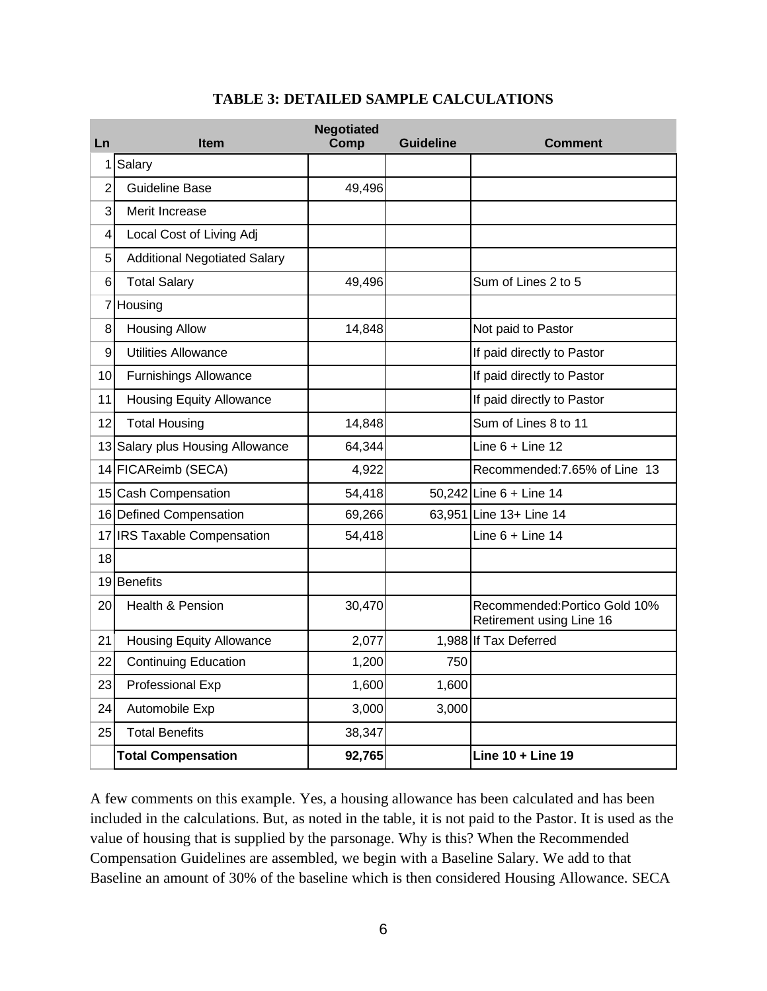| Ln             | <b>Item</b>                         | <b>Negotiated</b><br>Comp | <b>Guideline</b> | <b>Comment</b>                                            |
|----------------|-------------------------------------|---------------------------|------------------|-----------------------------------------------------------|
| 1              | Salary                              |                           |                  |                                                           |
| $\overline{2}$ | <b>Guideline Base</b>               | 49,496                    |                  |                                                           |
| 3              | Merit Increase                      |                           |                  |                                                           |
| 4              | Local Cost of Living Adj            |                           |                  |                                                           |
| 5              | <b>Additional Negotiated Salary</b> |                           |                  |                                                           |
| 6              | <b>Total Salary</b>                 | 49,496                    |                  | Sum of Lines 2 to 5                                       |
|                | 7 Housing                           |                           |                  |                                                           |
| 8              | <b>Housing Allow</b>                | 14,848                    |                  | Not paid to Pastor                                        |
| 9              | <b>Utilities Allowance</b>          |                           |                  | If paid directly to Pastor                                |
| 10             | <b>Furnishings Allowance</b>        |                           |                  | If paid directly to Pastor                                |
| 11             | <b>Housing Equity Allowance</b>     |                           |                  | If paid directly to Pastor                                |
| 12             | <b>Total Housing</b>                | 14,848                    |                  | Sum of Lines 8 to 11                                      |
|                | 13 Salary plus Housing Allowance    | 64,344                    |                  | Line $6 +$ Line 12                                        |
|                | 14 FICAReimb (SECA)                 | 4,922                     |                  | Recommended: 7.65% of Line 13                             |
|                | 15 Cash Compensation                | 54,418                    |                  | 50,242 Line 6 + Line 14                                   |
|                | 16 Defined Compensation             | 69,266                    |                  | 63,951 Line 13+ Line 14                                   |
|                | 17 IRS Taxable Compensation         | 54,418                    |                  | Line $6 +$ Line 14                                        |
| 18             |                                     |                           |                  |                                                           |
|                | 19 Benefits                         |                           |                  |                                                           |
| 20             | Health & Pension                    | 30,470                    |                  | Recommended: Portico Gold 10%<br>Retirement using Line 16 |
| 21             | <b>Housing Equity Allowance</b>     | 2,077                     |                  | 1,988 If Tax Deferred                                     |
| 22             | <b>Continuing Education</b>         | 1,200                     | 750              |                                                           |
| 23             | Professional Exp                    | 1,600                     | 1,600            |                                                           |
| 24             | Automobile Exp                      | 3,000                     | 3,000            |                                                           |
| 25             | <b>Total Benefits</b>               | 38,347                    |                  |                                                           |
|                | <b>Total Compensation</b>           | 92,765                    |                  | Line 10 + Line 19                                         |

#### **TABLE 3: DETAILED SAMPLE CALCULATIONS**

A few comments on this example. Yes, a housing allowance has been calculated and has been included in the calculations. But, as noted in the table, it is not paid to the Pastor. It is used as the value of housing that is supplied by the parsonage. Why is this? When the Recommended Compensation Guidelines are assembled, we begin with a Baseline Salary. We add to that Baseline an amount of 30% of the baseline which is then considered Housing Allowance. SECA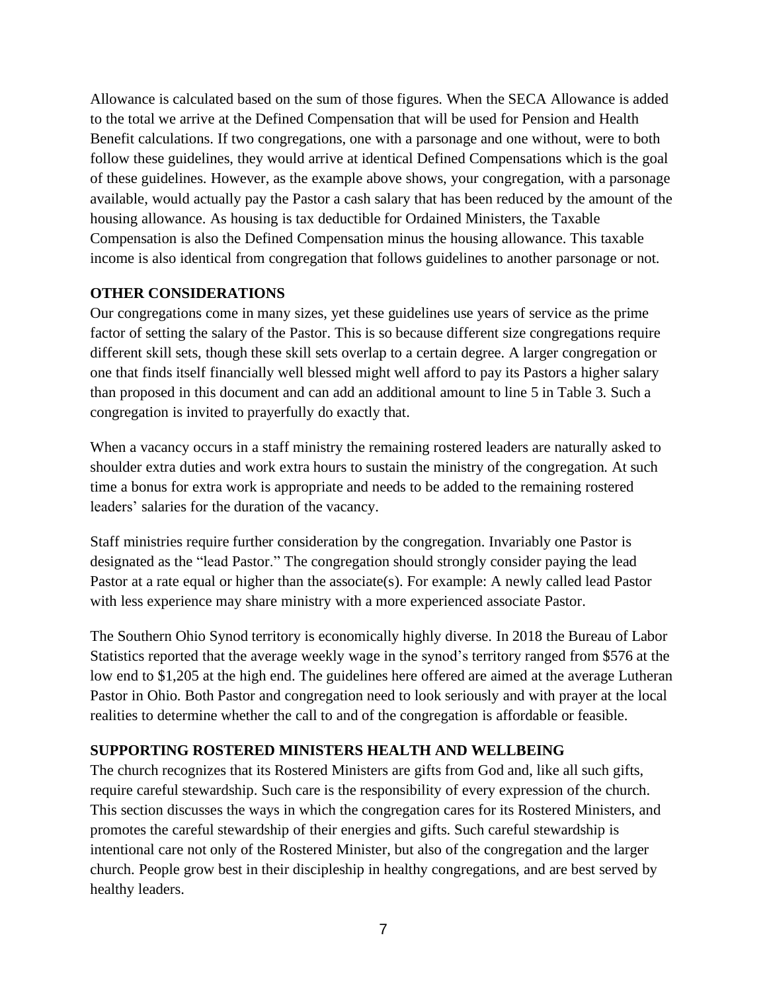Allowance is calculated based on the sum of those figures. When the SECA Allowance is added to the total we arrive at the Defined Compensation that will be used for Pension and Health Benefit calculations. If two congregations, one with a parsonage and one without, were to both follow these guidelines, they would arrive at identical Defined Compensations which is the goal of these guidelines. However, as the example above shows, your congregation, with a parsonage available, would actually pay the Pastor a cash salary that has been reduced by the amount of the housing allowance. As housing is tax deductible for Ordained Ministers, the Taxable Compensation is also the Defined Compensation minus the housing allowance. This taxable income is also identical from congregation that follows guidelines to another parsonage or not.

#### **OTHER CONSIDERATIONS**

Our congregations come in many sizes, yet these guidelines use years of service as the prime factor of setting the salary of the Pastor. This is so because different size congregations require different skill sets, though these skill sets overlap to a certain degree. A larger congregation or one that finds itself financially well blessed might well afford to pay its Pastors a higher salary than proposed in this document and can add an additional amount to line 5 in Table 3. Such a congregation is invited to prayerfully do exactly that.

When a vacancy occurs in a staff ministry the remaining rostered leaders are naturally asked to shoulder extra duties and work extra hours to sustain the ministry of the congregation. At such time a bonus for extra work is appropriate and needs to be added to the remaining rostered leaders' salaries for the duration of the vacancy.

Staff ministries require further consideration by the congregation. Invariably one Pastor is designated as the "lead Pastor." The congregation should strongly consider paying the lead Pastor at a rate equal or higher than the associate(s). For example: A newly called lead Pastor with less experience may share ministry with a more experienced associate Pastor.

The Southern Ohio Synod territory is economically highly diverse. In 2018 the Bureau of Labor Statistics reported that the average weekly wage in the synod's territory ranged from \$576 at the low end to \$1,205 at the high end. The guidelines here offered are aimed at the average Lutheran Pastor in Ohio. Both Pastor and congregation need to look seriously and with prayer at the local realities to determine whether the call to and of the congregation is affordable or feasible.

# **SUPPORTING ROSTERED MINISTERS HEALTH AND WELLBEING**

The church recognizes that its Rostered Ministers are gifts from God and, like all such gifts, require careful stewardship. Such care is the responsibility of every expression of the church. This section discusses the ways in which the congregation cares for its Rostered Ministers, and promotes the careful stewardship of their energies and gifts. Such careful stewardship is intentional care not only of the Rostered Minister, but also of the congregation and the larger church. People grow best in their discipleship in healthy congregations, and are best served by healthy leaders.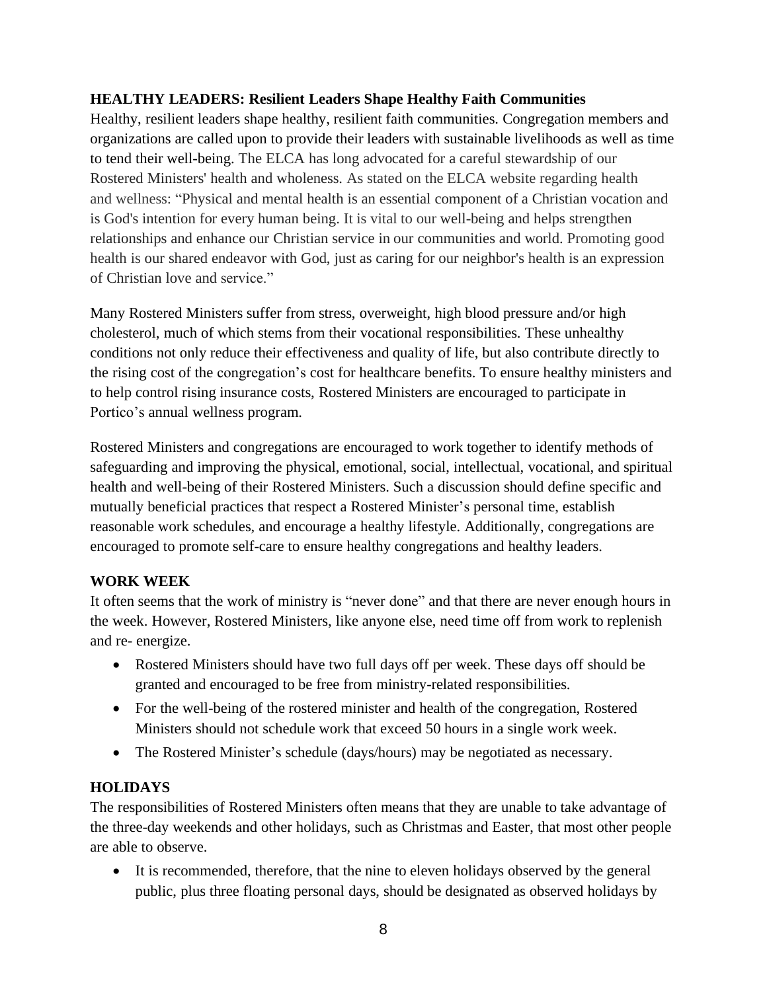# **HEALTHY LEADERS: Resilient Leaders Shape Healthy Faith Communities**

Healthy, resilient leaders shape healthy, resilient faith communities. Congregation members and organizations are called upon to provide their leaders with sustainable livelihoods as well as time to tend their well-being. The ELCA has long advocated for a careful stewardship of our Rostered Ministers' health and wholeness. As stated on the ELCA website regarding health and wellness: "Physical and mental health is an essential component of a Christian vocation and is God's intention for every human being. It is vital to our well-being and helps strengthen relationships and enhance our Christian service in our communities and world. Promoting good health is our shared endeavor with God, just as caring for our neighbor's health is an expression of Christian love and service."

Many Rostered Ministers suffer from stress, overweight, high blood pressure and/or high cholesterol, much of which stems from their vocational responsibilities. These unhealthy conditions not only reduce their effectiveness and quality of life, but also contribute directly to the rising cost of the congregation's cost for healthcare benefits. To ensure healthy ministers and to help control rising insurance costs, Rostered Ministers are encouraged to participate in Portico's annual wellness program.

Rostered Ministers and congregations are encouraged to work together to identify methods of safeguarding and improving the physical, emotional, social, intellectual, vocational, and spiritual health and well-being of their Rostered Ministers. Such a discussion should define specific and mutually beneficial practices that respect a Rostered Minister's personal time, establish reasonable work schedules, and encourage a healthy lifestyle. Additionally, congregations are encouraged to promote self-care to ensure healthy congregations and healthy leaders.

# **WORK WEEK**

It often seems that the work of ministry is "never done" and that there are never enough hours in the week. However, Rostered Ministers, like anyone else, need time off from work to replenish and re- energize.

- Rostered Ministers should have two full days off per week. These days off should be granted and encouraged to be free from ministry-related responsibilities.
- For the well-being of the rostered minister and health of the congregation, Rostered Ministers should not schedule work that exceed 50 hours in a single work week.
- The Rostered Minister's schedule (days/hours) may be negotiated as necessary.

# **HOLIDAYS**

The responsibilities of Rostered Ministers often means that they are unable to take advantage of the three-day weekends and other holidays, such as Christmas and Easter, that most other people are able to observe.

• It is recommended, therefore, that the nine to eleven holidays observed by the general public, plus three floating personal days, should be designated as observed holidays by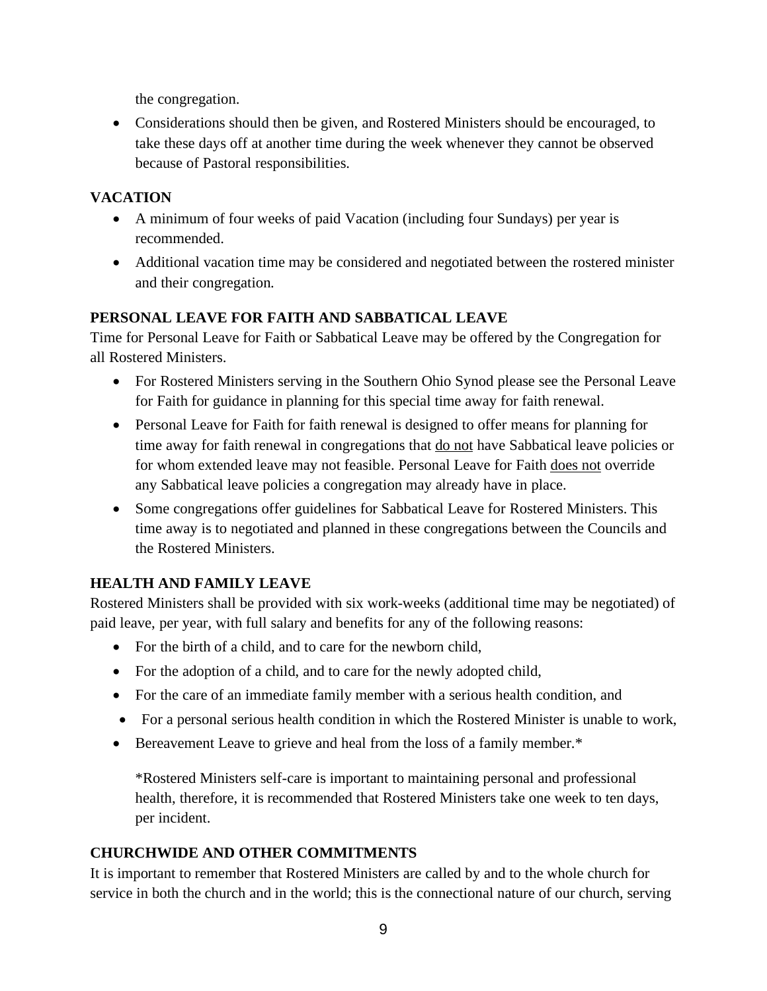the congregation.

• Considerations should then be given, and Rostered Ministers should be encouraged, to take these days off at another time during the week whenever they cannot be observed because of Pastoral responsibilities.

# **VACATION**

- A minimum of four weeks of paid Vacation (including four Sundays) per year is recommended.
- Additional vacation time may be considered and negotiated between the rostered minister and their congregation.

# **PERSONAL LEAVE FOR FAITH AND SABBATICAL LEAVE**

Time for Personal Leave for Faith or Sabbatical Leave may be offered by the Congregation for all Rostered Ministers.

- For Rostered Ministers serving in the Southern Ohio Synod please see the Personal Leave for Faith for guidance in planning for this special time away for faith renewal.
- Personal Leave for Faith for faith renewal is designed to offer means for planning for time away for faith renewal in congregations that <u>do not</u> have Sabbatical leave policies or for whom extended leave may not feasible. Personal Leave for Faith does not override any Sabbatical leave policies a congregation may already have in place.
- Some congregations offer guidelines for Sabbatical Leave for Rostered Ministers. This time away is to negotiated and planned in these congregations between the Councils and the Rostered Ministers.

# **HEALTH AND FAMILY LEAVE**

Rostered Ministers shall be provided with six work-weeks (additional time may be negotiated) of paid leave, per year, with full salary and benefits for any of the following reasons:

- For the birth of a child, and to care for the newborn child,
- For the adoption of a child, and to care for the newly adopted child,
- For the care of an immediate family member with a serious health condition, and
- For a personal serious health condition in which the Rostered Minister is unable to work,
- Bereavement Leave to grieve and heal from the loss of a family member.\*

\*Rostered Ministers self-care is important to maintaining personal and professional health, therefore, it is recommended that Rostered Ministers take one week to ten days, per incident.

# **CHURCHWIDE AND OTHER COMMITMENTS**

It is important to remember that Rostered Ministers are called by and to the whole church for service in both the church and in the world; this is the connectional nature of our church, serving